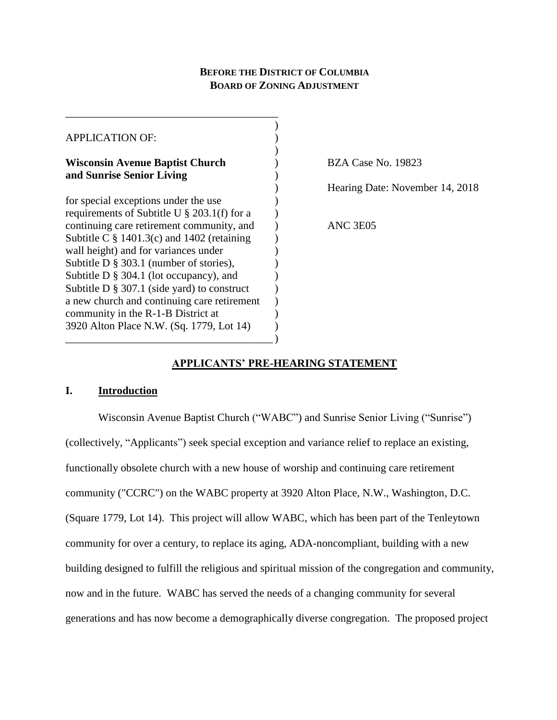## **BEFORE THE DISTRICT OF COLUMBIA BOARD OF ZONING ADJUSTMENT**

| <b>APPLICATION OF:</b>                                              |  |
|---------------------------------------------------------------------|--|
| <b>Wisconsin Avenue Baptist Church</b><br>and Sunrise Senior Living |  |
| for special exceptions under the use                                |  |
| requirements of Subtitle U $\S$ 203.1(f) for a                      |  |
| continuing care retirement community, and                           |  |
| Subtitle C $\S$ 1401.3(c) and 1402 (retaining                       |  |
| wall height) and for variances under                                |  |
| Subtitle D $\S$ 303.1 (number of stories),                          |  |
| Subtitle D $\S$ 304.1 (lot occupancy), and                          |  |
| Subtitle D $\S$ 307.1 (side yard) to construct                      |  |
| a new church and continuing care retirement                         |  |
| community in the R-1-B District at                                  |  |
| 3920 Alton Place N.W. (Sq. 1779, Lot 14)                            |  |
|                                                                     |  |

\_\_\_\_\_\_\_\_\_\_\_\_\_\_\_\_\_\_\_\_\_\_\_\_\_\_\_\_\_\_\_\_\_\_\_\_\_\_\_

**BZA Case No. 19823** 

) Hearing Date: November 14, 2018

ANC 3E05

# **APPLICANTS' PRE-HEARING STATEMENT**

## **I. Introduction**

Wisconsin Avenue Baptist Church ("WABC") and Sunrise Senior Living ("Sunrise") (collectively, "Applicants") seek special exception and variance relief to replace an existing, functionally obsolete church with a new house of worship and continuing care retirement community ("CCRC") on the WABC property at 3920 Alton Place, N.W., Washington, D.C. (Square 1779, Lot 14). This project will allow WABC, which has been part of the Tenleytown community for over a century, to replace its aging, ADA-noncompliant, building with a new building designed to fulfill the religious and spiritual mission of the congregation and community, now and in the future. WABC has served the needs of a changing community for several generations and has now become a demographically diverse congregation. The proposed project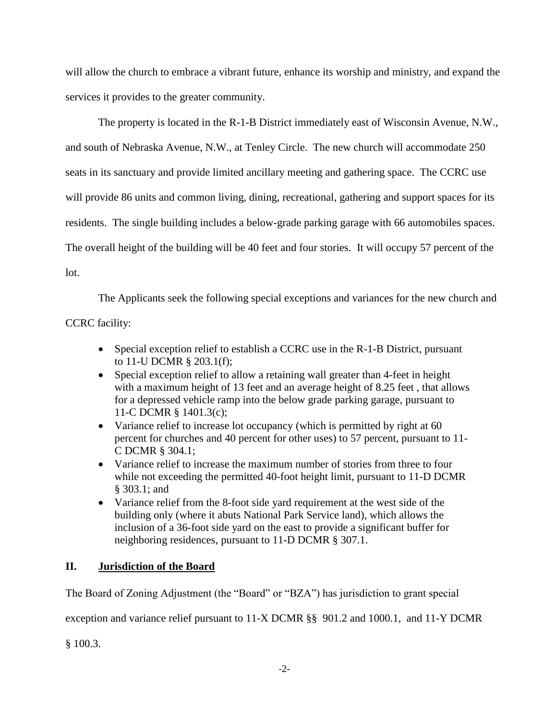will allow the church to embrace a vibrant future, enhance its worship and ministry, and expand the services it provides to the greater community.

The property is located in the R-1-B District immediately east of Wisconsin Avenue, N.W., and south of Nebraska Avenue, N.W., at Tenley Circle. The new church will accommodate 250 seats in its sanctuary and provide limited ancillary meeting and gathering space. The CCRC use will provide 86 units and common living, dining, recreational, gathering and support spaces for its residents. The single building includes a below-grade parking garage with 66 automobiles spaces. The overall height of the building will be 40 feet and four stories. It will occupy 57 percent of the lot.

The Applicants seek the following special exceptions and variances for the new church and

CCRC facility:

- Special exception relief to establish a CCRC use in the R-1-B District, pursuant to 11-U DCMR § 203.1(f);
- Special exception relief to allow a retaining wall greater than 4-feet in height with a maximum height of 13 feet and an average height of 8.25 feet , that allows for a depressed vehicle ramp into the below grade parking garage, pursuant to 11-C DCMR § 1401.3(c);
- Variance relief to increase lot occupancy (which is permitted by right at 60 percent for churches and 40 percent for other uses) to 57 percent, pursuant to 11- C DCMR § 304.1;
- Variance relief to increase the maximum number of stories from three to four while not exceeding the permitted 40-foot height limit, pursuant to 11-D DCMR § 303.1; and
- Variance relief from the 8-foot side yard requirement at the west side of the building only (where it abuts National Park Service land), which allows the inclusion of a 36-foot side yard on the east to provide a significant buffer for neighboring residences, pursuant to 11-D DCMR § 307.1.

# **II. Jurisdiction of the Board**

The Board of Zoning Adjustment (the "Board" or "BZA") has jurisdiction to grant special

exception and variance relief pursuant to 11-X DCMR §§ 901.2 and 1000.1, and 11-Y DCMR

§ 100.3.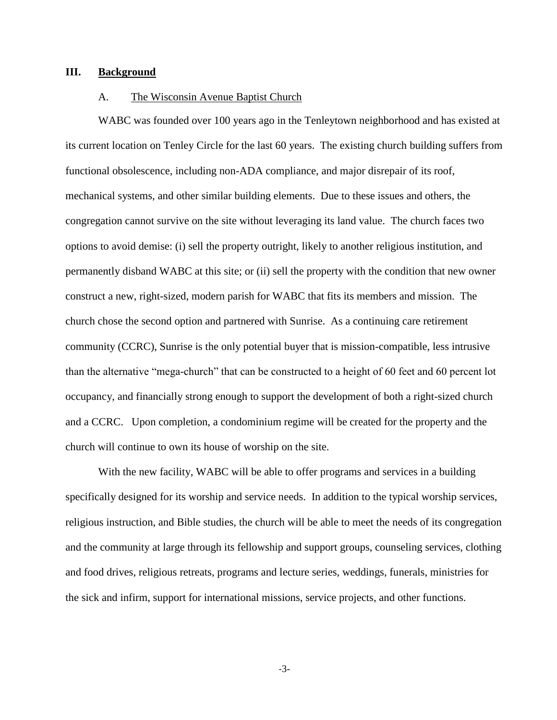#### **III. Background**

### A. The Wisconsin Avenue Baptist Church

WABC was founded over 100 years ago in the Tenleytown neighborhood and has existed at its current location on Tenley Circle for the last 60 years. The existing church building suffers from functional obsolescence, including non-ADA compliance, and major disrepair of its roof, mechanical systems, and other similar building elements. Due to these issues and others, the congregation cannot survive on the site without leveraging its land value. The church faces two options to avoid demise: (i) sell the property outright, likely to another religious institution, and permanently disband WABC at this site; or (ii) sell the property with the condition that new owner construct a new, right-sized, modern parish for WABC that fits its members and mission. The church chose the second option and partnered with Sunrise. As a continuing care retirement community (CCRC), Sunrise is the only potential buyer that is mission-compatible, less intrusive than the alternative "mega-church" that can be constructed to a height of 60 feet and 60 percent lot occupancy, and financially strong enough to support the development of both a right-sized church and a CCRC. Upon completion, a condominium regime will be created for the property and the church will continue to own its house of worship on the site.

With the new facility, WABC will be able to offer programs and services in a building specifically designed for its worship and service needs. In addition to the typical worship services, religious instruction, and Bible studies, the church will be able to meet the needs of its congregation and the community at large through its fellowship and support groups, counseling services, clothing and food drives, religious retreats, programs and lecture series, weddings, funerals, ministries for the sick and infirm, support for international missions, service projects, and other functions.

-3-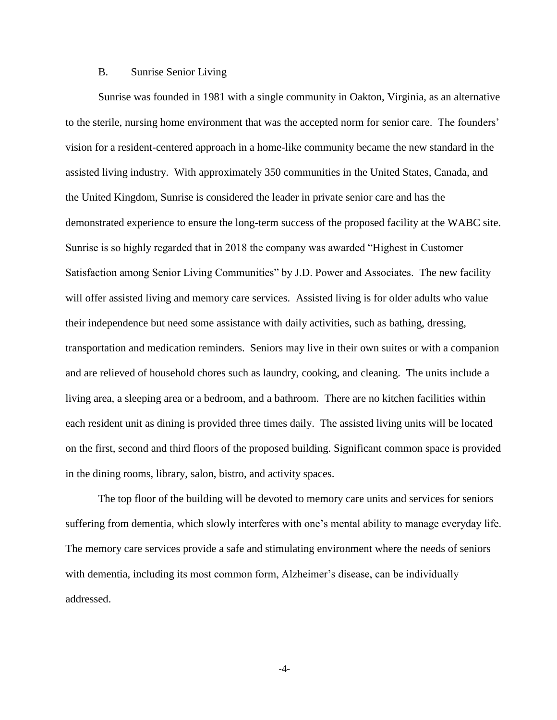### B. Sunrise Senior Living

Sunrise was founded in 1981 with a single community in Oakton, Virginia, as an alternative to the sterile, nursing home environment that was the accepted norm for senior care. The founders' vision for a resident-centered approach in a home-like community became the new standard in the assisted living industry. With approximately 350 communities in the United States, Canada, and the United Kingdom, Sunrise is considered the leader in private senior care and has the demonstrated experience to ensure the long-term success of the proposed facility at the WABC site. Sunrise is so highly regarded that in 2018 the company was awarded "Highest in Customer Satisfaction among Senior Living Communities" by J.D. Power and Associates. The new facility will offer assisted living and memory care services. Assisted living is for older adults who value their independence but need some assistance with daily activities, such as bathing, dressing, transportation and medication reminders. Seniors may live in their own suites or with a companion and are relieved of household chores such as laundry, cooking, and cleaning. The units include a living area, a sleeping area or a bedroom, and a bathroom. There are no kitchen facilities within each resident unit as dining is provided three times daily. The assisted living units will be located on the first, second and third floors of the proposed building. Significant common space is provided in the dining rooms, library, salon, bistro, and activity spaces.

The top floor of the building will be devoted to memory care units and services for seniors suffering from dementia, which slowly interferes with one's mental ability to manage everyday life. The memory care services provide a safe and stimulating environment where the needs of seniors with dementia, including its most common form, Alzheimer's disease, can be individually addressed.

-4-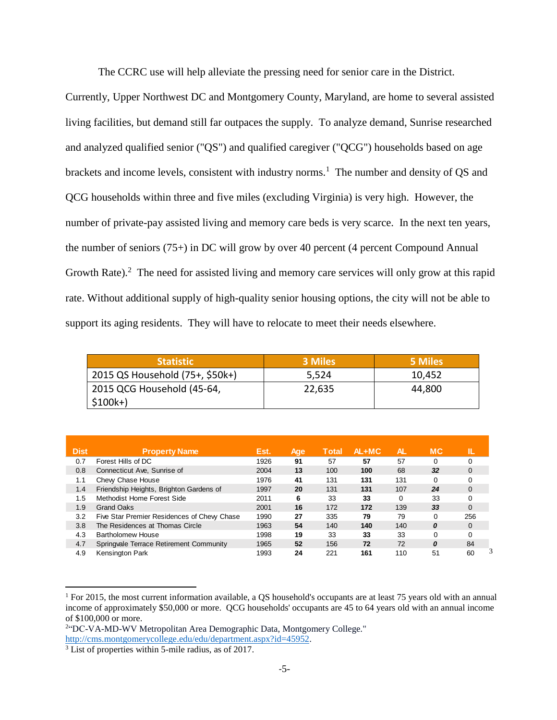The CCRC use will help alleviate the pressing need for senior care in the District.

Currently, Upper Northwest DC and Montgomery County, Maryland, are home to several assisted living facilities, but demand still far outpaces the supply. To analyze demand, Sunrise researched and analyzed qualified senior ("QS") and qualified caregiver ("QCG") households based on age brackets and income levels, consistent with industry norms.<sup>1</sup> The number and density of QS and QCG households within three and five miles (excluding Virginia) is very high. However, the number of private-pay assisted living and memory care beds is very scarce. In the next ten years, the number of seniors (75+) in DC will grow by over 40 percent (4 percent Compound Annual Growth Rate). $2$  The need for assisted living and memory care services will only grow at this rapid rate. Without additional supply of high-quality senior housing options, the city will not be able to support its aging residents. They will have to relocate to meet their needs elsewhere.

| <b>Statistic</b>                | 3 Miles | 5 Miles |
|---------------------------------|---------|---------|
| 2015 QS Household (75+, \$50k+) | 5.524   | 10.452  |
| 2015 QCG Household (45-64,      | 22,635  | 44.800  |
| $$100k+$                        |         |         |

|             | <b>STOOK+)</b>                             |      |            |              |         |     |           |              |
|-------------|--------------------------------------------|------|------------|--------------|---------|-----|-----------|--------------|
|             |                                            |      |            |              |         |     |           |              |
|             |                                            |      |            |              |         |     |           |              |
|             |                                            |      |            |              |         |     |           |              |
|             |                                            |      |            |              |         |     |           |              |
| <b>Dist</b> | <b>Property Name</b>                       | Est. | <b>Age</b> | <b>Total</b> | $AL+MC$ | AL. | <b>MC</b> | IL           |
| 0.7         | Forest Hills of DC                         | 1926 | 91         | 57           | 57      | 57  | $\Omega$  | $\Omega$     |
| 0.8         | Connecticut Ave, Sunrise of                | 2004 | 13         | 100          | 100     | 68  | 32        | $\mathbf{0}$ |
| 1.1         | Chew Chase House                           | 1976 | 41         | 131          | 131     | 131 | $\Omega$  | 0            |
| 1.4         | Friendship Heights, Brighton Gardens of    | 1997 | 20         | 131          | 131     | 107 | 24        | $\mathbf{0}$ |
| 1.5         | Methodist Home Forest Side                 | 2011 | 6          | 33           | 33      | 0   | 33        | 0            |
| 1.9         | <b>Grand Oaks</b>                          | 2001 | 16         | 172          | 172     | 139 | 33        | $\Omega$     |
| 3.2         | Five Star Premier Residences of Chew Chase | 1990 | 27         | 335          | 79      | 79  | $\Omega$  | 256          |
| 3.8         | The Residences at Thomas Circle            | 1963 | 54         | 140          | 140     | 140 | 0         | $\Omega$     |
| 4.3         | <b>Bartholomew House</b>                   | 1998 | 19         | 33           | 33      | 33  | $\Omega$  | 0            |
| 4.7         | Springvale Terrace Retirement Community    | 1965 | 52         | 156          | 72      | 72  | 0         | 84           |
| 4.9         | Kensington Park                            | 1993 | 24         | 221          | 161     | 110 | 51        | 60           |

<sup>&</sup>lt;sup>1</sup> For 2015, the most current information available, a QS household's occupants are at least 75 years old with an annual income of approximately \$50,000 or more. QCG households' occupants are 45 to 64 years old with an annual income of \$100,000 or more.

 $\overline{\phantom{a}}$ 

<sup>&</sup>lt;sup>2</sup>"DC-VA-MD-WV Metropolitan Area Demographic Data, Montgomery College." [http://cms.montgomerycollege.edu/edu/department.aspx?id=45952.](http://cms.montgomerycollege.edu/edu/department.aspx?id=45952)

 $\frac{3}{3}$  List of properties within 5-mile radius, as of 2017.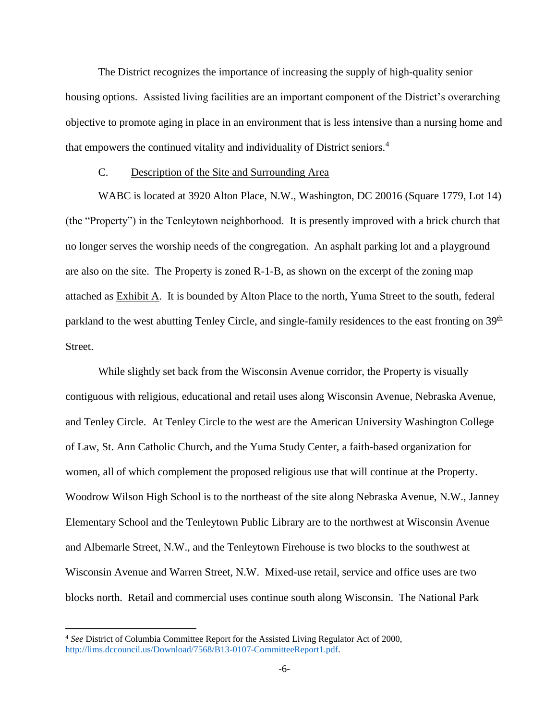The District recognizes the importance of increasing the supply of high-quality senior housing options. Assisted living facilities are an important component of the District's overarching objective to promote aging in place in an environment that is less intensive than a nursing home and that empowers the continued vitality and individuality of District seniors.<sup>4</sup>

## C. Description of the Site and Surrounding Area

WABC is located at 3920 Alton Place, N.W., Washington, DC 20016 (Square 1779, Lot 14) (the "Property") in the Tenleytown neighborhood. It is presently improved with a brick church that no longer serves the worship needs of the congregation. An asphalt parking lot and a playground are also on the site. The Property is zoned R-1-B, as shown on the excerpt of the zoning map attached as Exhibit A. It is bounded by Alton Place to the north, Yuma Street to the south, federal parkland to the west abutting Tenley Circle, and single-family residences to the east fronting on 39<sup>th</sup> Street.

While slightly set back from the Wisconsin Avenue corridor, the Property is visually contiguous with religious, educational and retail uses along Wisconsin Avenue, Nebraska Avenue, and Tenley Circle. At Tenley Circle to the west are the American University Washington College of Law, St. Ann Catholic Church, and the Yuma Study Center, a faith-based organization for women, all of which complement the proposed religious use that will continue at the Property. Woodrow Wilson High School is to the northeast of the site along Nebraska Avenue, N.W., Janney Elementary School and the Tenleytown Public Library are to the northwest at Wisconsin Avenue and Albemarle Street, N.W., and the Tenleytown Firehouse is two blocks to the southwest at Wisconsin Avenue and Warren Street, N.W. Mixed-use retail, service and office uses are two blocks north. Retail and commercial uses continue south along Wisconsin. The National Park

 $\overline{a}$ 

<sup>4</sup> *See* District of Columbia Committee Report for the Assisted Living Regulator Act of 2000, [http://lims.dccouncil.us/Download/7568/B13-0107-CommitteeReport1.pdf.](http://lims.dccouncil.us/Download/7568/B13-0107-CommitteeReport1.pdf)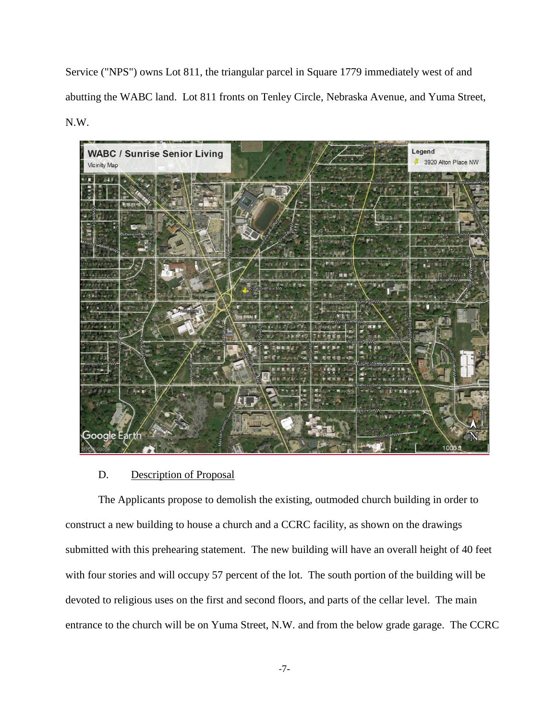Service ("NPS") owns Lot 811, the triangular parcel in Square 1779 immediately west of and abutting the WABC land. Lot 811 fronts on Tenley Circle, Nebraska Avenue, and Yuma Street, N.W.



## D. Description of Proposal

The Applicants propose to demolish the existing, outmoded church building in order to construct a new building to house a church and a CCRC facility, as shown on the drawings submitted with this prehearing statement. The new building will have an overall height of 40 feet with four stories and will occupy 57 percent of the lot. The south portion of the building will be devoted to religious uses on the first and second floors, and parts of the cellar level. The main entrance to the church will be on Yuma Street, N.W. and from the below grade garage. The CCRC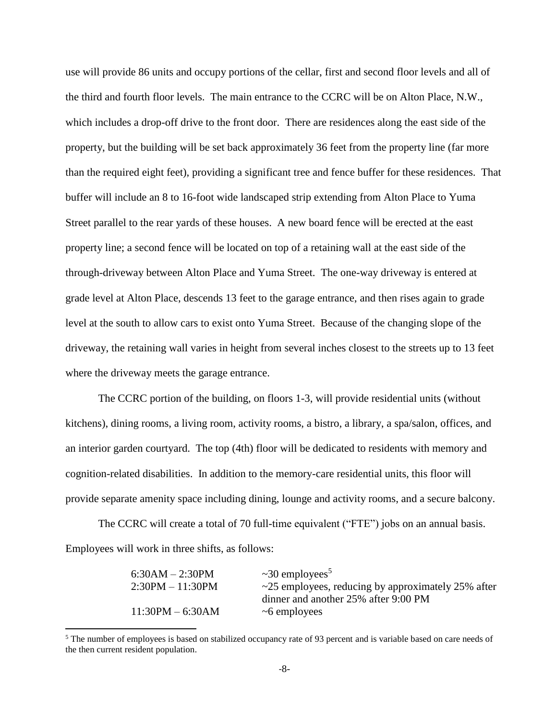use will provide 86 units and occupy portions of the cellar, first and second floor levels and all of the third and fourth floor levels. The main entrance to the CCRC will be on Alton Place, N.W., which includes a drop-off drive to the front door. There are residences along the east side of the property, but the building will be set back approximately 36 feet from the property line (far more than the required eight feet), providing a significant tree and fence buffer for these residences. That buffer will include an 8 to 16-foot wide landscaped strip extending from Alton Place to Yuma Street parallel to the rear yards of these houses. A new board fence will be erected at the east property line; a second fence will be located on top of a retaining wall at the east side of the through-driveway between Alton Place and Yuma Street. The one-way driveway is entered at grade level at Alton Place, descends 13 feet to the garage entrance, and then rises again to grade level at the south to allow cars to exist onto Yuma Street. Because of the changing slope of the driveway, the retaining wall varies in height from several inches closest to the streets up to 13 feet where the driveway meets the garage entrance.

The CCRC portion of the building, on floors 1-3, will provide residential units (without kitchens), dining rooms, a living room, activity rooms, a bistro, a library, a spa/salon, offices, and an interior garden courtyard. The top (4th) floor will be dedicated to residents with memory and cognition-related disabilities. In addition to the memory-care residential units, this floor will provide separate amenity space including dining, lounge and activity rooms, and a secure balcony.

The CCRC will create a total of 70 full-time equivalent ("FTE") jobs on an annual basis. Employees will work in three shifts, as follows:

| $\sim$ 30 employees <sup>5</sup>                         |
|----------------------------------------------------------|
| $\sim$ 25 employees, reducing by approximately 25% after |
| dinner and another 25% after 9:00 PM                     |
| $\sim$ 6 employees                                       |
|                                                          |

<sup>5</sup> The number of employees is based on stabilized occupancy rate of 93 percent and is variable based on care needs of the then current resident population.

 $\overline{a}$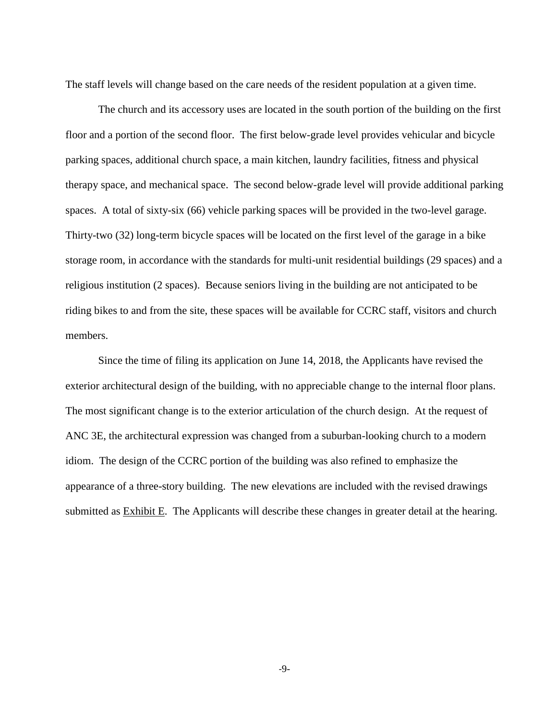The staff levels will change based on the care needs of the resident population at a given time.

The church and its accessory uses are located in the south portion of the building on the first floor and a portion of the second floor. The first below-grade level provides vehicular and bicycle parking spaces, additional church space, a main kitchen, laundry facilities, fitness and physical therapy space, and mechanical space. The second below-grade level will provide additional parking spaces. A total of sixty-six (66) vehicle parking spaces will be provided in the two-level garage. Thirty-two (32) long-term bicycle spaces will be located on the first level of the garage in a bike storage room, in accordance with the standards for multi-unit residential buildings (29 spaces) and a religious institution (2 spaces). Because seniors living in the building are not anticipated to be riding bikes to and from the site, these spaces will be available for CCRC staff, visitors and church members.

Since the time of filing its application on June 14, 2018, the Applicants have revised the exterior architectural design of the building, with no appreciable change to the internal floor plans. The most significant change is to the exterior articulation of the church design. At the request of ANC 3E, the architectural expression was changed from a suburban-looking church to a modern idiom. The design of the CCRC portion of the building was also refined to emphasize the appearance of a three-story building. The new elevations are included with the revised drawings submitted as Exhibit E. The Applicants will describe these changes in greater detail at the hearing.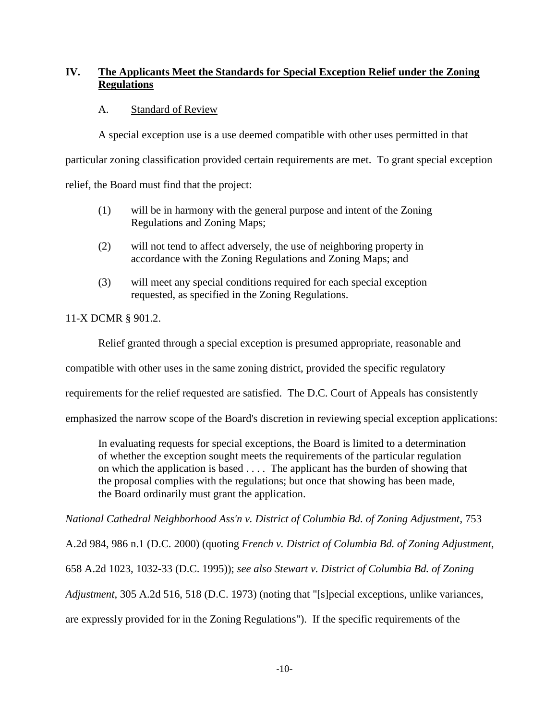# **IV. The Applicants Meet the Standards for Special Exception Relief under the Zoning Regulations**

# A. Standard of Review

A special exception use is a use deemed compatible with other uses permitted in that

particular zoning classification provided certain requirements are met. To grant special exception

relief, the Board must find that the project:

- (1) will be in harmony with the general purpose and intent of the Zoning Regulations and Zoning Maps;
- (2) will not tend to affect adversely, the use of neighboring property in accordance with the Zoning Regulations and Zoning Maps; and
- (3) will meet any special conditions required for each special exception requested, as specified in the Zoning Regulations.

# 11-X DCMR § 901.2.

Relief granted through a special exception is presumed appropriate, reasonable and

compatible with other uses in the same zoning district, provided the specific regulatory

requirements for the relief requested are satisfied. The D.C. Court of Appeals has consistently

emphasized the narrow scope of the Board's discretion in reviewing special exception applications:

In evaluating requests for special exceptions, the Board is limited to a determination of whether the exception sought meets the requirements of the particular regulation on which the application is based . . . . The applicant has the burden of showing that the proposal complies with the regulations; but once that showing has been made, the Board ordinarily must grant the application.

*National Cathedral Neighborhood Ass'n v. District of Columbia Bd. of Zoning Adjustment*, 753

A.2d 984, 986 n.1 (D.C. 2000) (quoting *French v. District of Columbia Bd. of Zoning Adjustment*,

658 A.2d 1023, 1032-33 (D.C. 1995)); *see also Stewart v. District of Columbia Bd. of Zoning* 

*Adjustment*, 305 A.2d 516, 518 (D.C. 1973) (noting that "[s]pecial exceptions, unlike variances,

are expressly provided for in the Zoning Regulations"). If the specific requirements of the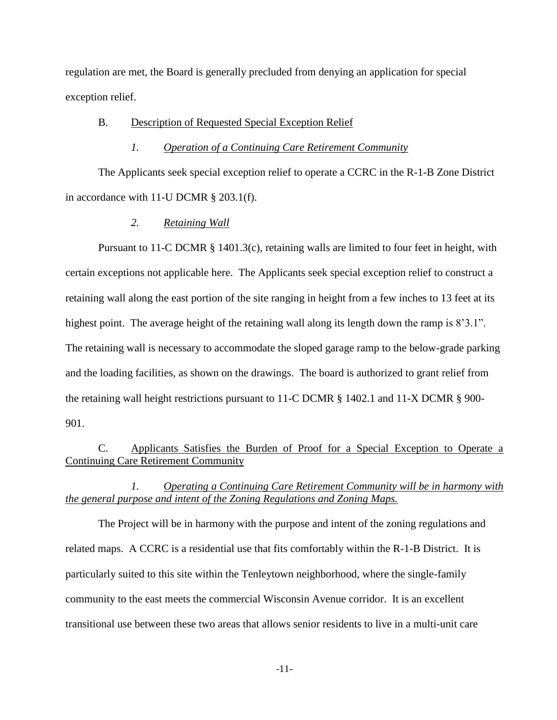regulation are met, the Board is generally precluded from denying an application for special exception relief.

#### B. Description of Requested Special Exception Relief

#### *1. Operation of a Continuing Care Retirement Community*

The Applicants seek special exception relief to operate a CCRC in the R-1-B Zone District in accordance with 11-U DCMR § 203.1(f).

#### *2. Retaining Wall*

Pursuant to 11-C DCMR § 1401.3(c), retaining walls are limited to four feet in height, with certain exceptions not applicable here. The Applicants seek special exception relief to construct a retaining wall along the east portion of the site ranging in height from a few inches to 13 feet at its highest point. The average height of the retaining wall along its length down the ramp is 8'3.1". The retaining wall is necessary to accommodate the sloped garage ramp to the below-grade parking and the loading facilities, as shown on the drawings. The board is authorized to grant relief from the retaining wall height restrictions pursuant to 11-C DCMR § 1402.1 and 11-X DCMR § 900- 901.

C. Applicants Satisfies the Burden of Proof for a Special Exception to Operate a Continuing Care Retirement Community

*1. Operating a Continuing Care Retirement Community will be in harmony with the general purpose and intent of the Zoning Regulations and Zoning Maps.*

The Project will be in harmony with the purpose and intent of the zoning regulations and related maps. A CCRC is a residential use that fits comfortably within the R-1-B District. It is particularly suited to this site within the Tenleytown neighborhood, where the single-family community to the east meets the commercial Wisconsin Avenue corridor. It is an excellent transitional use between these two areas that allows senior residents to live in a multi-unit care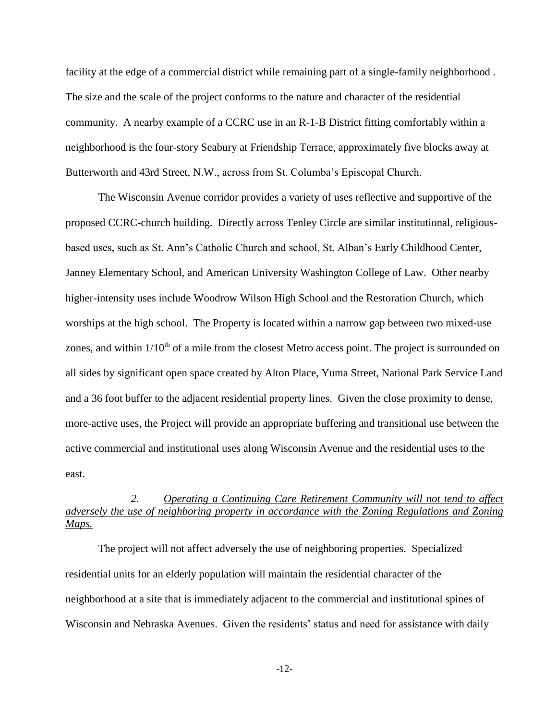facility at the edge of a commercial district while remaining part of a single-family neighborhood . The size and the scale of the project conforms to the nature and character of the residential community. A nearby example of a CCRC use in an R-1-B District fitting comfortably within a neighborhood is the four-story Seabury at Friendship Terrace, approximately five blocks away at Butterworth and 43rd Street, N.W., across from St. Columba's Episcopal Church.

The Wisconsin Avenue corridor provides a variety of uses reflective and supportive of the proposed CCRC-church building. Directly across Tenley Circle are similar institutional, religiousbased uses, such as St. Ann's Catholic Church and school, St. Alban's Early Childhood Center, Janney Elementary School, and American University Washington College of Law. Other nearby higher-intensity uses include Woodrow Wilson High School and the Restoration Church, which worships at the high school. The Property is located within a narrow gap between two mixed-use zones, and within  $1/10^{th}$  of a mile from the closest Metro access point. The project is surrounded on all sides by significant open space created by Alton Place, Yuma Street, National Park Service Land and a 36 foot buffer to the adjacent residential property lines. Given the close proximity to dense, more-active uses, the Project will provide an appropriate buffering and transitional use between the active commercial and institutional uses along Wisconsin Avenue and the residential uses to the east.

# *2. Operating a Continuing Care Retirement Community will not tend to affect adversely the use of neighboring property in accordance with the Zoning Regulations and Zoning Maps.*

The project will not affect adversely the use of neighboring properties. Specialized residential units for an elderly population will maintain the residential character of the neighborhood at a site that is immediately adjacent to the commercial and institutional spines of Wisconsin and Nebraska Avenues. Given the residents' status and need for assistance with daily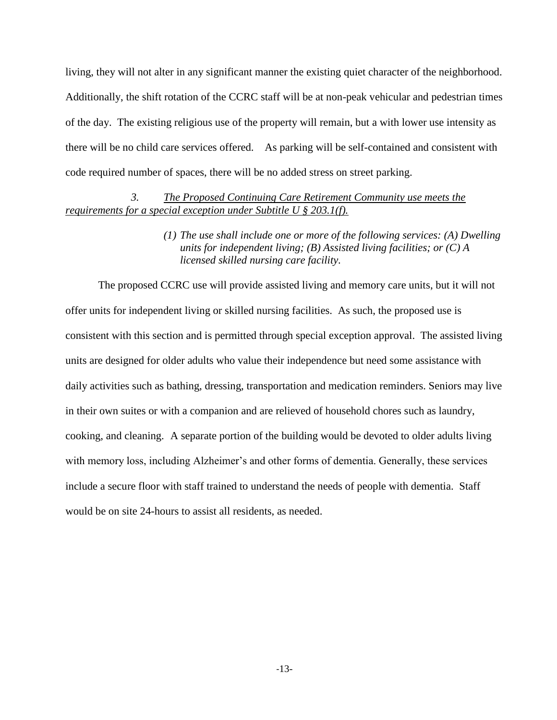living, they will not alter in any significant manner the existing quiet character of the neighborhood. Additionally, the shift rotation of the CCRC staff will be at non-peak vehicular and pedestrian times of the day. The existing religious use of the property will remain, but a with lower use intensity as there will be no child care services offered. As parking will be self-contained and consistent with code required number of spaces, there will be no added stress on street parking.

## *3. The Proposed Continuing Care Retirement Community use meets the requirements for a special exception under Subtitle U § 203.1(f).*

## *(1) The use shall include one or more of the following services: (A) Dwelling units for independent living; (B) Assisted living facilities; or (C) A licensed skilled nursing care facility.*

The proposed CCRC use will provide assisted living and memory care units, but it will not offer units for independent living or skilled nursing facilities. As such, the proposed use is consistent with this section and is permitted through special exception approval. The assisted living units are designed for older adults who value their independence but need some assistance with daily activities such as bathing, dressing, transportation and medication reminders. Seniors may live in their own suites or with a companion and are relieved of household chores such as laundry, cooking, and cleaning. A separate portion of the building would be devoted to older adults living with memory loss, including Alzheimer's and other forms of dementia. Generally, these services include a secure floor with staff trained to understand the needs of people with dementia. Staff would be on site 24-hours to assist all residents, as needed.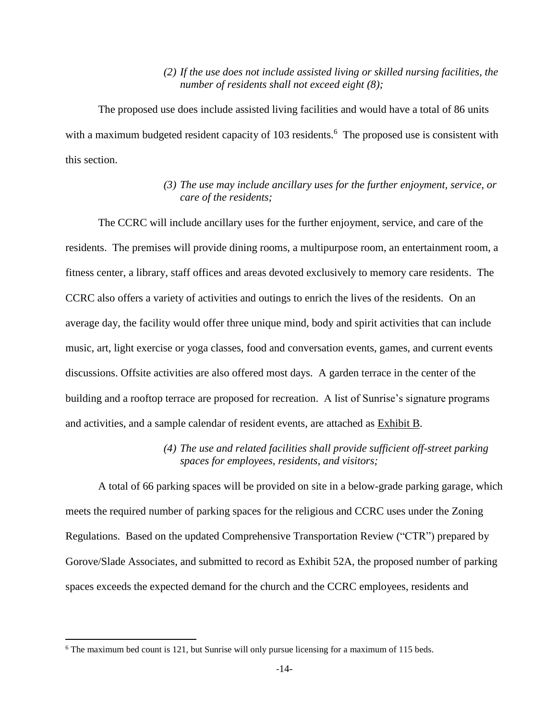## *(2) If the use does not include assisted living or skilled nursing facilities, the number of residents shall not exceed eight (8);*

The proposed use does include assisted living facilities and would have a total of 86 units with a maximum budgeted resident capacity of 103 residents.<sup>6</sup> The proposed use is consistent with this section.

## *(3) The use may include ancillary uses for the further enjoyment, service, or care of the residents;*

The CCRC will include ancillary uses for the further enjoyment, service, and care of the residents. The premises will provide dining rooms, a multipurpose room, an entertainment room, a fitness center, a library, staff offices and areas devoted exclusively to memory care residents. The CCRC also offers a variety of activities and outings to enrich the lives of the residents. On an average day, the facility would offer three unique mind, body and spirit activities that can include music, art, light exercise or yoga classes, food and conversation events, games, and current events discussions. Offsite activities are also offered most days. A garden terrace in the center of the building and a rooftop terrace are proposed for recreation. A list of Sunrise's signature programs and activities, and a sample calendar of resident events, are attached as Exhibit B.

## *(4) The use and related facilities shall provide sufficient off-street parking spaces for employees, residents, and visitors;*

A total of 66 parking spaces will be provided on site in a below-grade parking garage, which meets the required number of parking spaces for the religious and CCRC uses under the Zoning Regulations. Based on the updated Comprehensive Transportation Review ("CTR") prepared by Gorove/Slade Associates, and submitted to record as Exhibit 52A, the proposed number of parking spaces exceeds the expected demand for the church and the CCRC employees, residents and

 $\overline{\phantom{a}}$ 

<sup>6</sup> The maximum bed count is 121, but Sunrise will only pursue licensing for a maximum of 115 beds.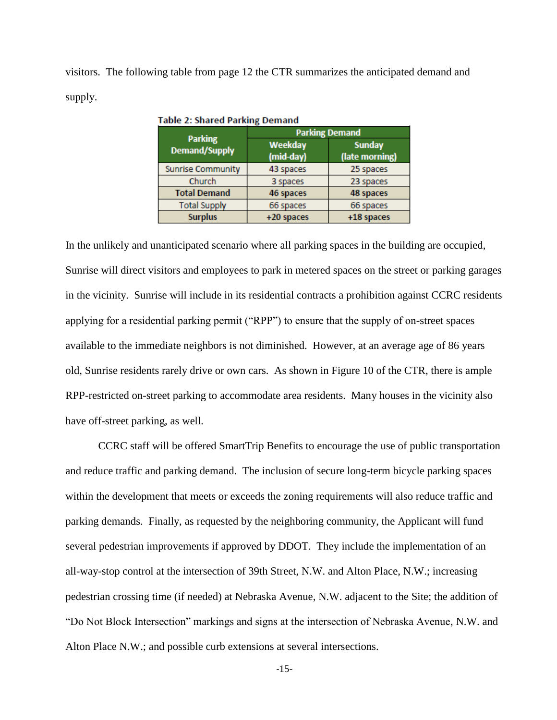visitors. The following table from page 12 the CTR summarizes the anticipated demand and supply.

|                                        | <b>Parking Demand</b> |                                 |  |  |
|----------------------------------------|-----------------------|---------------------------------|--|--|
| <b>Parking</b><br><b>Demand/Supply</b> | Weekday<br>(mid-day)  | <b>Sunday</b><br>(late morning) |  |  |
| <b>Sunrise Community</b>               | 43 spaces             | 25 spaces                       |  |  |
| Church                                 | 3 spaces              | 23 spaces                       |  |  |
| <b>Total Demand</b>                    | 46 spaces             | 48 spaces                       |  |  |
| <b>Total Supply</b>                    | 66 spaces             | 66 spaces                       |  |  |
| <b>Surplus</b>                         | +20 spaces            | +18 spaces                      |  |  |

**Table 2: Shared Parking Demand** 

In the unlikely and unanticipated scenario where all parking spaces in the building are occupied, Sunrise will direct visitors and employees to park in metered spaces on the street or parking garages in the vicinity. Sunrise will include in its residential contracts a prohibition against CCRC residents applying for a residential parking permit ("RPP") to ensure that the supply of on-street spaces available to the immediate neighbors is not diminished. However, at an average age of 86 years old, Sunrise residents rarely drive or own cars. As shown in Figure 10 of the CTR, there is ample RPP-restricted on-street parking to accommodate area residents. Many houses in the vicinity also have off-street parking, as well.

CCRC staff will be offered SmartTrip Benefits to encourage the use of public transportation and reduce traffic and parking demand. The inclusion of secure long-term bicycle parking spaces within the development that meets or exceeds the zoning requirements will also reduce traffic and parking demands. Finally, as requested by the neighboring community, the Applicant will fund several pedestrian improvements if approved by DDOT. They include the implementation of an all-way-stop control at the intersection of 39th Street, N.W. and Alton Place, N.W.; increasing pedestrian crossing time (if needed) at Nebraska Avenue, N.W. adjacent to the Site; the addition of "Do Not Block Intersection" markings and signs at the intersection of Nebraska Avenue, N.W. and Alton Place N.W.; and possible curb extensions at several intersections.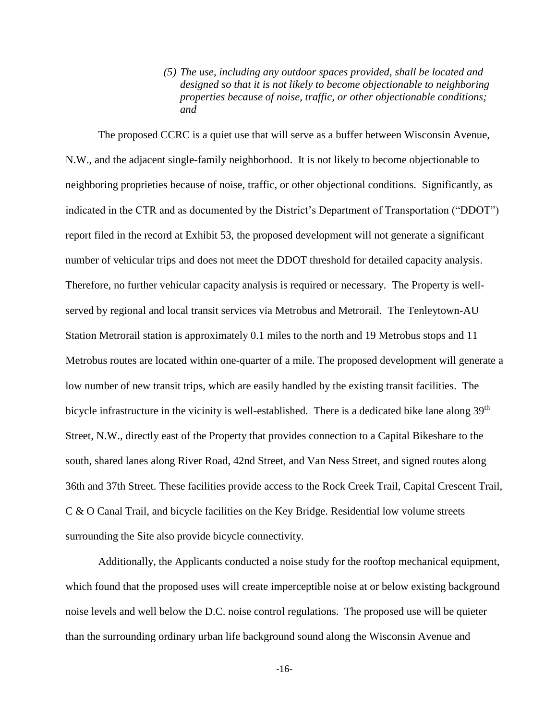*(5) The use, including any outdoor spaces provided, shall be located and designed so that it is not likely to become objectionable to neighboring properties because of noise, traffic, or other objectionable conditions; and* 

The proposed CCRC is a quiet use that will serve as a buffer between Wisconsin Avenue, N.W., and the adjacent single-family neighborhood. It is not likely to become objectionable to neighboring proprieties because of noise, traffic, or other objectional conditions. Significantly, as indicated in the CTR and as documented by the District's Department of Transportation ("DDOT") report filed in the record at Exhibit 53, the proposed development will not generate a significant number of vehicular trips and does not meet the DDOT threshold for detailed capacity analysis. Therefore, no further vehicular capacity analysis is required or necessary. The Property is wellserved by regional and local transit services via Metrobus and Metrorail. The Tenleytown-AU Station Metrorail station is approximately 0.1 miles to the north and 19 Metrobus stops and 11 Metrobus routes are located within one-quarter of a mile. The proposed development will generate a low number of new transit trips, which are easily handled by the existing transit facilities. The bicycle infrastructure in the vicinity is well-established. There is a dedicated bike lane along 39<sup>th</sup> Street, N.W., directly east of the Property that provides connection to a Capital Bikeshare to the south, shared lanes along River Road, 42nd Street, and Van Ness Street, and signed routes along 36th and 37th Street. These facilities provide access to the Rock Creek Trail, Capital Crescent Trail, C & O Canal Trail, and bicycle facilities on the Key Bridge. Residential low volume streets surrounding the Site also provide bicycle connectivity.

Additionally, the Applicants conducted a noise study for the rooftop mechanical equipment, which found that the proposed uses will create imperceptible noise at or below existing background noise levels and well below the D.C. noise control regulations. The proposed use will be quieter than the surrounding ordinary urban life background sound along the Wisconsin Avenue and

-16-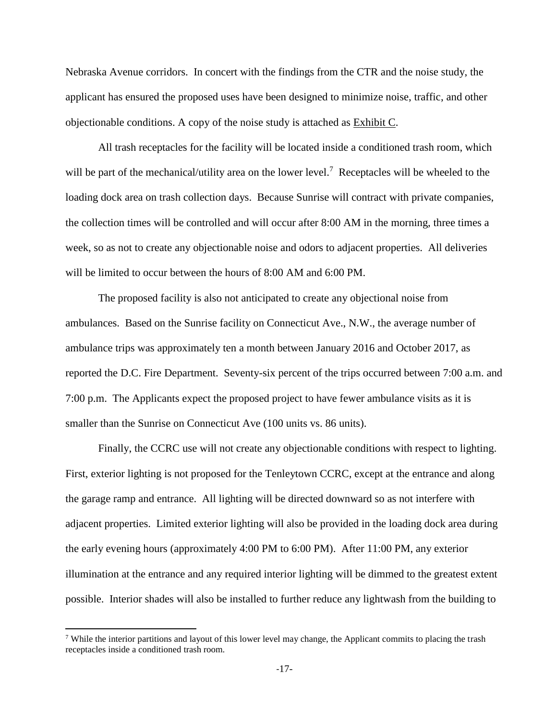Nebraska Avenue corridors. In concert with the findings from the CTR and the noise study, the applicant has ensured the proposed uses have been designed to minimize noise, traffic, and other objectionable conditions. A copy of the noise study is attached as Exhibit C.

All trash receptacles for the facility will be located inside a conditioned trash room, which will be part of the mechanical/utility area on the lower level.<sup>7</sup> Receptacles will be wheeled to the loading dock area on trash collection days. Because Sunrise will contract with private companies, the collection times will be controlled and will occur after 8:00 AM in the morning, three times a week, so as not to create any objectionable noise and odors to adjacent properties. All deliveries will be limited to occur between the hours of 8:00 AM and 6:00 PM.

The proposed facility is also not anticipated to create any objectional noise from ambulances. Based on the Sunrise facility on Connecticut Ave., N.W., the average number of ambulance trips was approximately ten a month between January 2016 and October 2017, as reported the D.C. Fire Department. Seventy-six percent of the trips occurred between 7:00 a.m. and 7:00 p.m. The Applicants expect the proposed project to have fewer ambulance visits as it is smaller than the Sunrise on Connecticut Ave (100 units vs. 86 units).

Finally, the CCRC use will not create any objectionable conditions with respect to lighting. First, exterior lighting is not proposed for the Tenleytown CCRC, except at the entrance and along the garage ramp and entrance. All lighting will be directed downward so as not interfere with adjacent properties. Limited exterior lighting will also be provided in the loading dock area during the early evening hours (approximately 4:00 PM to 6:00 PM). After 11:00 PM, any exterior illumination at the entrance and any required interior lighting will be dimmed to the greatest extent possible. Interior shades will also be installed to further reduce any lightwash from the building to

 $\overline{a}$ 

<sup>7</sup> While the interior partitions and layout of this lower level may change, the Applicant commits to placing the trash receptacles inside a conditioned trash room.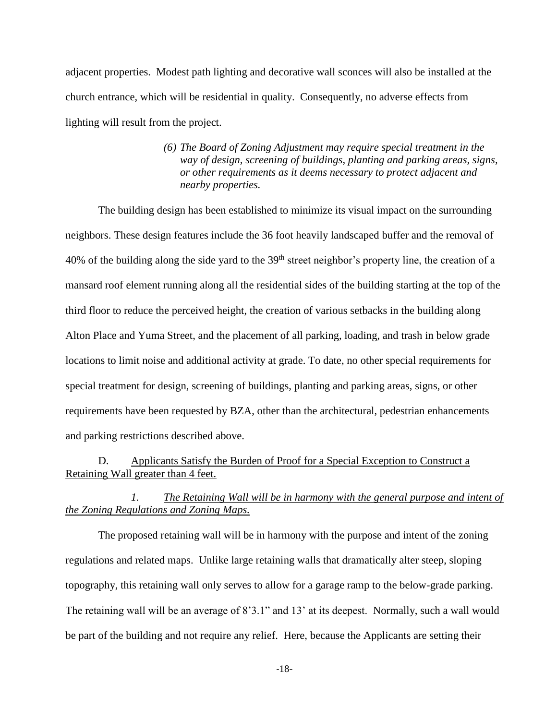adjacent properties. Modest path lighting and decorative wall sconces will also be installed at the church entrance, which will be residential in quality. Consequently, no adverse effects from lighting will result from the project.

> *(6) The Board of Zoning Adjustment may require special treatment in the way of design, screening of buildings, planting and parking areas, signs, or other requirements as it deems necessary to protect adjacent and nearby properties.*

The building design has been established to minimize its visual impact on the surrounding neighbors. These design features include the 36 foot heavily landscaped buffer and the removal of 40% of the building along the side yard to the  $39<sup>th</sup>$  street neighbor's property line, the creation of a mansard roof element running along all the residential sides of the building starting at the top of the third floor to reduce the perceived height, the creation of various setbacks in the building along Alton Place and Yuma Street, and the placement of all parking, loading, and trash in below grade locations to limit noise and additional activity at grade. To date, no other special requirements for special treatment for design, screening of buildings, planting and parking areas, signs, or other requirements have been requested by BZA, other than the architectural, pedestrian enhancements and parking restrictions described above.

# D. Applicants Satisfy the Burden of Proof for a Special Exception to Construct a Retaining Wall greater than 4 feet.

## *1. The Retaining Wall will be in harmony with the general purpose and intent of the Zoning Regulations and Zoning Maps.*

The proposed retaining wall will be in harmony with the purpose and intent of the zoning regulations and related maps. Unlike large retaining walls that dramatically alter steep, sloping topography, this retaining wall only serves to allow for a garage ramp to the below-grade parking. The retaining wall will be an average of 8'3.1" and 13' at its deepest. Normally, such a wall would be part of the building and not require any relief. Here, because the Applicants are setting their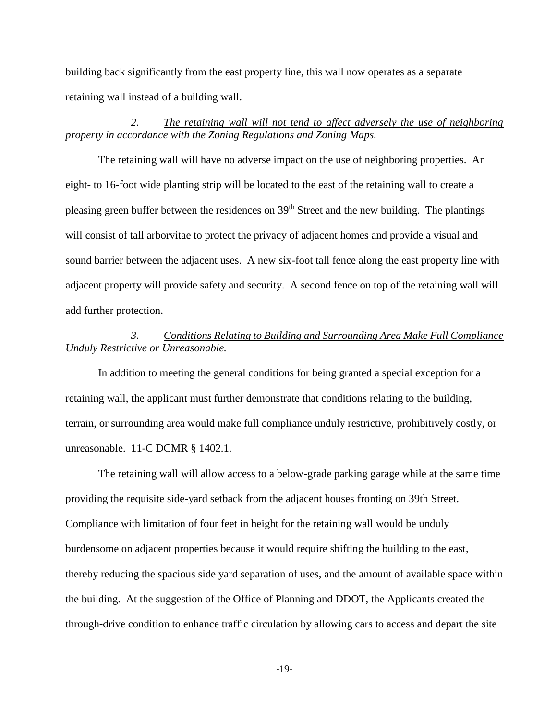building back significantly from the east property line, this wall now operates as a separate retaining wall instead of a building wall.

# *2. The retaining wall will not tend to affect adversely the use of neighboring property in accordance with the Zoning Regulations and Zoning Maps.*

The retaining wall will have no adverse impact on the use of neighboring properties. An eight- to 16-foot wide planting strip will be located to the east of the retaining wall to create a pleasing green buffer between the residences on 39<sup>th</sup> Street and the new building. The plantings will consist of tall arborvitae to protect the privacy of adjacent homes and provide a visual and sound barrier between the adjacent uses. A new six-foot tall fence along the east property line with adjacent property will provide safety and security. A second fence on top of the retaining wall will add further protection.

# *3. Conditions Relating to Building and Surrounding Area Make Full Compliance Unduly Restrictive or Unreasonable.*

In addition to meeting the general conditions for being granted a special exception for a retaining wall, the applicant must further demonstrate that conditions relating to the building, terrain, or surrounding area would make full compliance unduly restrictive, prohibitively costly, or unreasonable. 11-C DCMR § 1402.1.

The retaining wall will allow access to a below-grade parking garage while at the same time providing the requisite side-yard setback from the adjacent houses fronting on 39th Street. Compliance with limitation of four feet in height for the retaining wall would be unduly burdensome on adjacent properties because it would require shifting the building to the east, thereby reducing the spacious side yard separation of uses, and the amount of available space within the building. At the suggestion of the Office of Planning and DDOT, the Applicants created the through-drive condition to enhance traffic circulation by allowing cars to access and depart the site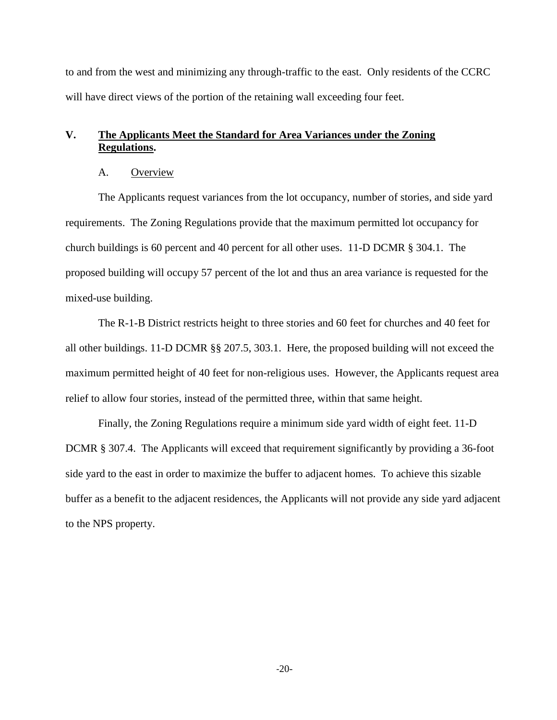to and from the west and minimizing any through-traffic to the east. Only residents of the CCRC will have direct views of the portion of the retaining wall exceeding four feet.

## **V. The Applicants Meet the Standard for Area Variances under the Zoning Regulations.**

#### A. Overview

The Applicants request variances from the lot occupancy, number of stories, and side yard requirements. The Zoning Regulations provide that the maximum permitted lot occupancy for church buildings is 60 percent and 40 percent for all other uses. 11-D DCMR § 304.1. The proposed building will occupy 57 percent of the lot and thus an area variance is requested for the mixed-use building.

The R-1-B District restricts height to three stories and 60 feet for churches and 40 feet for all other buildings. 11-D DCMR §§ 207.5, 303.1. Here, the proposed building will not exceed the maximum permitted height of 40 feet for non-religious uses. However, the Applicants request area relief to allow four stories, instead of the permitted three, within that same height.

Finally, the Zoning Regulations require a minimum side yard width of eight feet. 11-D DCMR § 307.4. The Applicants will exceed that requirement significantly by providing a 36-foot side yard to the east in order to maximize the buffer to adjacent homes. To achieve this sizable buffer as a benefit to the adjacent residences, the Applicants will not provide any side yard adjacent to the NPS property.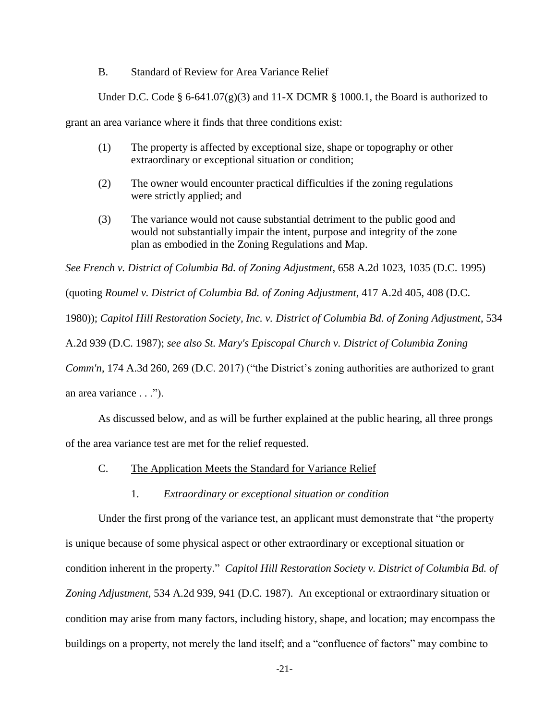## B. Standard of Review for Area Variance Relief

Under D.C. Code § 6-641.07 $(g)(3)$  and 11-X DCMR § 1000.1, the Board is authorized to

grant an area variance where it finds that three conditions exist:

- (1) The property is affected by exceptional size, shape or topography or other extraordinary or exceptional situation or condition;
- (2) The owner would encounter practical difficulties if the zoning regulations were strictly applied; and
- (3) The variance would not cause substantial detriment to the public good and would not substantially impair the intent, purpose and integrity of the zone plan as embodied in the Zoning Regulations and Map.

*See French v. District of Columbia Bd. of Zoning Adjustment*, 658 A.2d 1023, 1035 (D.C. 1995)

(quoting *Roumel v. District of Columbia Bd. of Zoning Adjustment*, 417 A.2d 405, 408 (D.C.

1980)); *Capitol Hill Restoration Society, Inc. v. District of Columbia Bd. of Zoning Adjustment*, 534

A.2d 939 (D.C. 1987); *see also St. Mary's Episcopal Church v. District of Columbia Zoning* 

*Comm'n*, 174 A.3d 260, 269 (D.C. 2017) ("the District's zoning authorities are authorized to grant

an area variance . . .").

As discussed below, and as will be further explained at the public hearing, all three prongs of the area variance test are met for the relief requested.

- C. The Application Meets the Standard for Variance Relief
	- 1. *Extraordinary or exceptional situation or condition*

Under the first prong of the variance test, an applicant must demonstrate that "the property is unique because of some physical aspect or other extraordinary or exceptional situation or condition inherent in the property." *Capitol Hill Restoration Society v. District of Columbia Bd. of Zoning Adjustment*, 534 A.2d 939, 941 (D.C. 1987). An exceptional or extraordinary situation or condition may arise from many factors, including history, shape, and location; may encompass the buildings on a property, not merely the land itself; and a "confluence of factors" may combine to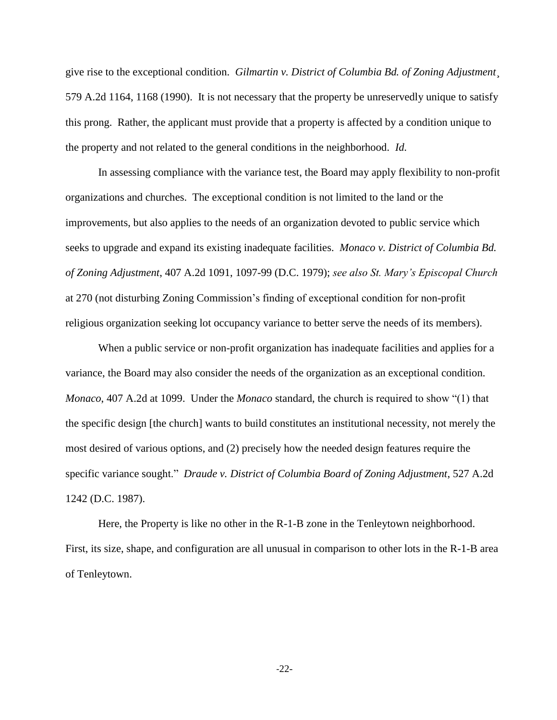give rise to the exceptional condition. *Gilmartin v. District of Columbia Bd. of Zoning Adjustment*¸ 579 A.2d 1164, 1168 (1990). It is not necessary that the property be unreservedly unique to satisfy this prong. Rather, the applicant must provide that a property is affected by a condition unique to the property and not related to the general conditions in the neighborhood. *Id.*

In assessing compliance with the variance test, the Board may apply flexibility to non-profit organizations and churches. The exceptional condition is not limited to the land or the improvements, but also applies to the needs of an organization devoted to public service which seeks to upgrade and expand its existing inadequate facilities. *Monaco v. District of Columbia Bd. of Zoning Adjustment*, 407 A.2d 1091, 1097-99 (D.C. 1979); *see also St. Mary's Episcopal Church* at 270 (not disturbing Zoning Commission's finding of exceptional condition for non-profit religious organization seeking lot occupancy variance to better serve the needs of its members).

When a public service or non-profit organization has inadequate facilities and applies for a variance, the Board may also consider the needs of the organization as an exceptional condition. *Monaco*, 407 A.2d at 1099. Under the *Monaco* standard, the church is required to show "(1) that the specific design [the church] wants to build constitutes an institutional necessity, not merely the most desired of various options, and (2) precisely how the needed design features require the specific variance sought." *Draude v. District of Columbia Board of Zoning Adjustment*, 527 A.2d 1242 (D.C. 1987).

Here, the Property is like no other in the R-1-B zone in the Tenleytown neighborhood. First, its size, shape, and configuration are all unusual in comparison to other lots in the R-1-B area of Tenleytown.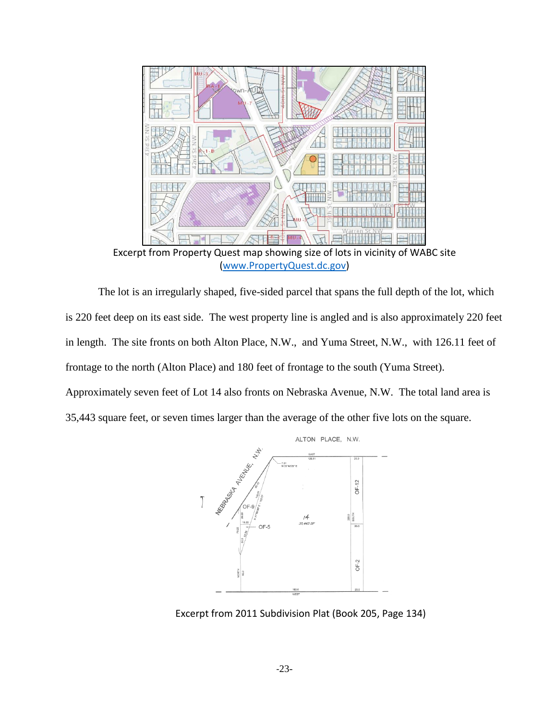

Excerpt from Property Quest map showing size of lots in vicinity of WABC site [\(www.PropertyQuest.dc.gov\)](http://www.propertyquest.dc.gov/)

The lot is an irregularly shaped, five-sided parcel that spans the full depth of the lot, which is 220 feet deep on its east side. The west property line is angled and is also approximately 220 feet in length. The site fronts on both Alton Place, N.W., and Yuma Street, N.W., with 126.11 feet of frontage to the north (Alton Place) and 180 feet of frontage to the south (Yuma Street). Approximately seven feet of Lot 14 also fronts on Nebraska Avenue, N.W. The total land area is

35,443 square feet, or seven times larger than the average of the other five lots on the square.



Excerpt from 2011 Subdivision Plat (Book 205, Page 134)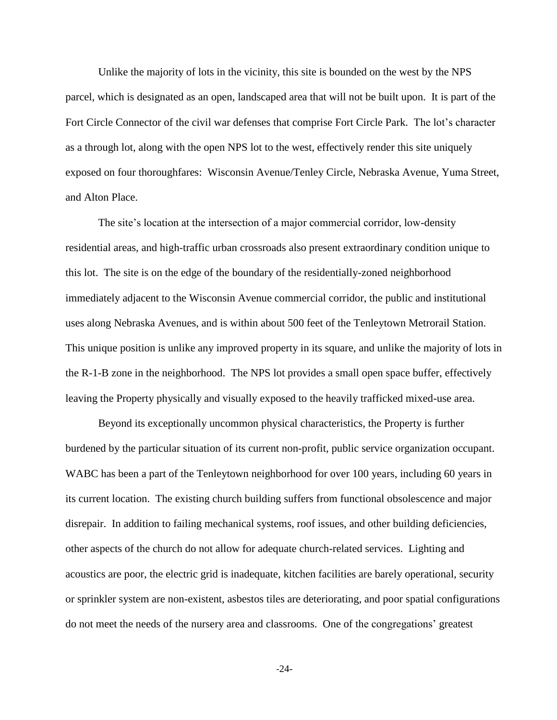Unlike the majority of lots in the vicinity, this site is bounded on the west by the NPS parcel, which is designated as an open, landscaped area that will not be built upon. It is part of the Fort Circle Connector of the civil war defenses that comprise Fort Circle Park. The lot's character as a through lot, along with the open NPS lot to the west, effectively render this site uniquely exposed on four thoroughfares: Wisconsin Avenue/Tenley Circle, Nebraska Avenue, Yuma Street, and Alton Place.

The site's location at the intersection of a major commercial corridor, low-density residential areas, and high-traffic urban crossroads also present extraordinary condition unique to this lot. The site is on the edge of the boundary of the residentially-zoned neighborhood immediately adjacent to the Wisconsin Avenue commercial corridor, the public and institutional uses along Nebraska Avenues, and is within about 500 feet of the Tenleytown Metrorail Station. This unique position is unlike any improved property in its square, and unlike the majority of lots in the R-1-B zone in the neighborhood. The NPS lot provides a small open space buffer, effectively leaving the Property physically and visually exposed to the heavily trafficked mixed-use area.

Beyond its exceptionally uncommon physical characteristics, the Property is further burdened by the particular situation of its current non-profit, public service organization occupant. WABC has been a part of the Tenleytown neighborhood for over 100 years, including 60 years in its current location. The existing church building suffers from functional obsolescence and major disrepair. In addition to failing mechanical systems, roof issues, and other building deficiencies, other aspects of the church do not allow for adequate church-related services. Lighting and acoustics are poor, the electric grid is inadequate, kitchen facilities are barely operational, security or sprinkler system are non-existent, asbestos tiles are deteriorating, and poor spatial configurations do not meet the needs of the nursery area and classrooms. One of the congregations' greatest

-24-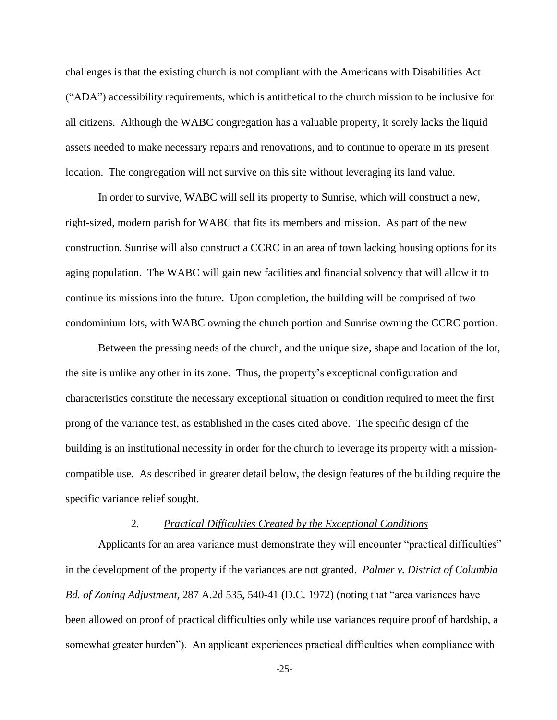challenges is that the existing church is not compliant with the Americans with Disabilities Act ("ADA") accessibility requirements, which is antithetical to the church mission to be inclusive for all citizens. Although the WABC congregation has a valuable property, it sorely lacks the liquid assets needed to make necessary repairs and renovations, and to continue to operate in its present location. The congregation will not survive on this site without leveraging its land value.

In order to survive, WABC will sell its property to Sunrise, which will construct a new, right-sized, modern parish for WABC that fits its members and mission. As part of the new construction, Sunrise will also construct a CCRC in an area of town lacking housing options for its aging population. The WABC will gain new facilities and financial solvency that will allow it to continue its missions into the future. Upon completion, the building will be comprised of two condominium lots, with WABC owning the church portion and Sunrise owning the CCRC portion.

Between the pressing needs of the church, and the unique size, shape and location of the lot, the site is unlike any other in its zone. Thus, the property's exceptional configuration and characteristics constitute the necessary exceptional situation or condition required to meet the first prong of the variance test, as established in the cases cited above. The specific design of the building is an institutional necessity in order for the church to leverage its property with a missioncompatible use. As described in greater detail below, the design features of the building require the specific variance relief sought.

#### 2. *Practical Difficulties Created by the Exceptional Conditions*

Applicants for an area variance must demonstrate they will encounter "practical difficulties" in the development of the property if the variances are not granted. *Palmer v. District of Columbia Bd. of Zoning Adjustment*, 287 A.2d 535, 540-41 (D.C. 1972) (noting that "area variances have been allowed on proof of practical difficulties only while use variances require proof of hardship, a somewhat greater burden"). An applicant experiences practical difficulties when compliance with

-25-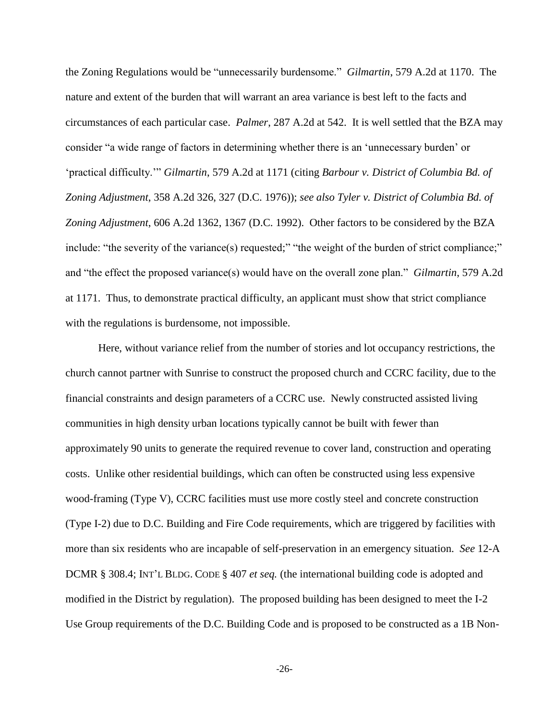the Zoning Regulations would be "unnecessarily burdensome." *Gilmartin*, 579 A.2d at 1170. The nature and extent of the burden that will warrant an area variance is best left to the facts and circumstances of each particular case. *Palmer*, 287 A.2d at 542. It is well settled that the BZA may consider "a wide range of factors in determining whether there is an 'unnecessary burden' or 'practical difficulty.'" *Gilmartin*, 579 A.2d at 1171 (citing *Barbour v. District of Columbia Bd. of Zoning Adjustment*, 358 A.2d 326, 327 (D.C. 1976)); *see also Tyler v. District of Columbia Bd. of Zoning Adjustment*, 606 A.2d 1362, 1367 (D.C. 1992). Other factors to be considered by the BZA include: "the severity of the variance(s) requested;" "the weight of the burden of strict compliance;" and "the effect the proposed variance(s) would have on the overall zone plan." *Gilmartin*, 579 A.2d at 1171. Thus, to demonstrate practical difficulty, an applicant must show that strict compliance with the regulations is burdensome, not impossible.

Here, without variance relief from the number of stories and lot occupancy restrictions, the church cannot partner with Sunrise to construct the proposed church and CCRC facility, due to the financial constraints and design parameters of a CCRC use. Newly constructed assisted living communities in high density urban locations typically cannot be built with fewer than approximately 90 units to generate the required revenue to cover land, construction and operating costs. Unlike other residential buildings, which can often be constructed using less expensive wood-framing (Type V), CCRC facilities must use more costly steel and concrete construction (Type I-2) due to D.C. Building and Fire Code requirements, which are triggered by facilities with more than six residents who are incapable of self-preservation in an emergency situation. *See* 12-A DCMR § 308.4; INT'L BLDG. CODE § 407 *et seq.* (the international building code is adopted and modified in the District by regulation). The proposed building has been designed to meet the I-2 Use Group requirements of the D.C. Building Code and is proposed to be constructed as a 1B Non-

-26-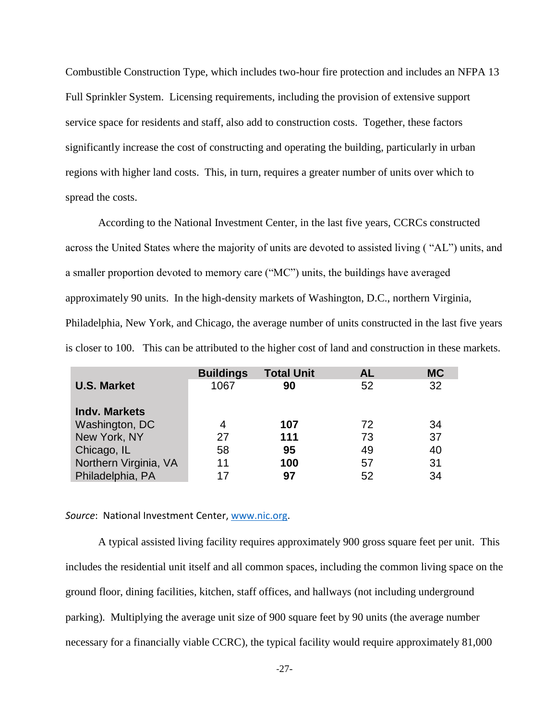Combustible Construction Type, which includes two-hour fire protection and includes an NFPA 13 Full Sprinkler System. Licensing requirements, including the provision of extensive support service space for residents and staff, also add to construction costs. Together, these factors significantly increase the cost of constructing and operating the building, particularly in urban regions with higher land costs. This, in turn, requires a greater number of units over which to spread the costs.

According to the National Investment Center, in the last five years, CCRCs constructed across the United States where the majority of units are devoted to assisted living ( "AL") units, and a smaller proportion devoted to memory care ("MC") units, the buildings have averaged approximately 90 units. In the high-density markets of Washington, D.C., northern Virginia, Philadelphia, New York, and Chicago, the average number of units constructed in the last five years is closer to 100. This can be attributed to the higher cost of land and construction in these markets.

|                       | <b>Buildings</b> | <b>Total Unit</b> | <b>AL</b> | <b>MC</b> |
|-----------------------|------------------|-------------------|-----------|-----------|
| <b>U.S. Market</b>    | 1067             | 90                | 52        | 32        |
|                       |                  |                   |           |           |
| <b>Indv. Markets</b>  |                  |                   |           |           |
| Washington, DC        | 4                | 107               | 72        | 34        |
| New York, NY          | 27               | 111               | 73        | 37        |
| Chicago, IL           | 58               | 95                | 49        | 40        |
| Northern Virginia, VA | 11               | 100               | 57        | 31        |
| Philadelphia, PA      | 17               | 97                | 52        | 34        |

*Source*: National Investment Center, [www.nic.org.](http://www.nic.org/)

A typical assisted living facility requires approximately 900 gross square feet per unit. This includes the residential unit itself and all common spaces, including the common living space on the ground floor, dining facilities, kitchen, staff offices, and hallways (not including underground parking). Multiplying the average unit size of 900 square feet by 90 units (the average number necessary for a financially viable CCRC), the typical facility would require approximately 81,000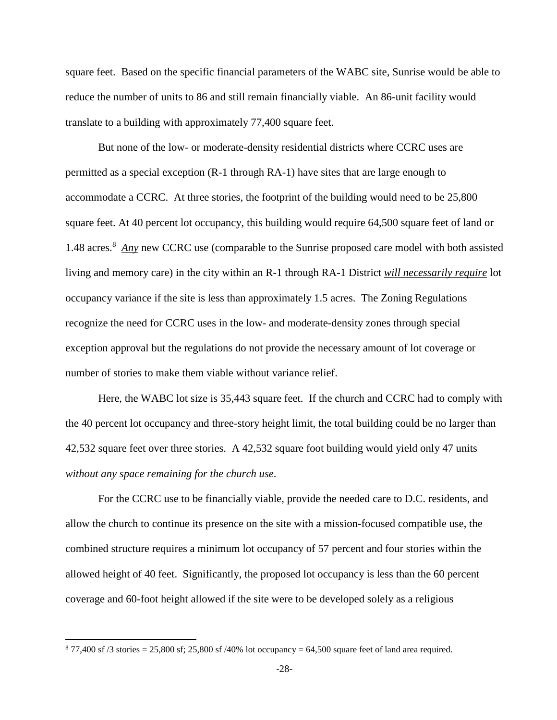square feet. Based on the specific financial parameters of the WABC site, Sunrise would be able to reduce the number of units to 86 and still remain financially viable. An 86-unit facility would translate to a building with approximately 77,400 square feet.

But none of the low- or moderate-density residential districts where CCRC uses are permitted as a special exception (R-1 through RA-1) have sites that are large enough to accommodate a CCRC. At three stories, the footprint of the building would need to be 25,800 square feet. At 40 percent lot occupancy, this building would require 64,500 square feet of land or 1.48 acres.<sup>8</sup> Any new CCRC use (comparable to the Sunrise proposed care model with both assisted living and memory care) in the city within an R-1 through RA-1 District *will necessarily require* lot occupancy variance if the site is less than approximately 1.5 acres. The Zoning Regulations recognize the need for CCRC uses in the low- and moderate-density zones through special exception approval but the regulations do not provide the necessary amount of lot coverage or number of stories to make them viable without variance relief.

Here, the WABC lot size is 35,443 square feet. If the church and CCRC had to comply with the 40 percent lot occupancy and three-story height limit, the total building could be no larger than 42,532 square feet over three stories. A 42,532 square foot building would yield only 47 units *without any space remaining for the church use*.

For the CCRC use to be financially viable, provide the needed care to D.C. residents, and allow the church to continue its presence on the site with a mission-focused compatible use, the combined structure requires a minimum lot occupancy of 57 percent and four stories within the allowed height of 40 feet. Significantly, the proposed lot occupancy is less than the 60 percent coverage and 60-foot height allowed if the site were to be developed solely as a religious

 $\overline{\phantom{a}}$ 

 $877,400$  sf /3 stories = 25,800 sf; 25,800 sf /40% lot occupancy = 64,500 square feet of land area required.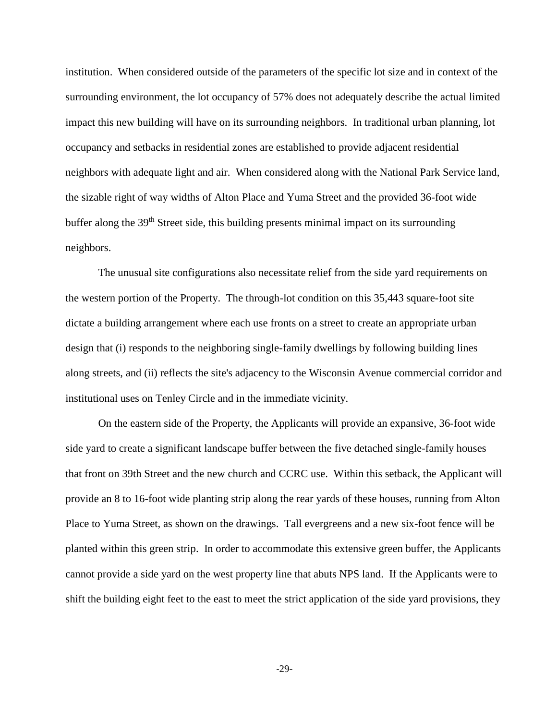institution. When considered outside of the parameters of the specific lot size and in context of the surrounding environment, the lot occupancy of 57% does not adequately describe the actual limited impact this new building will have on its surrounding neighbors. In traditional urban planning, lot occupancy and setbacks in residential zones are established to provide adjacent residential neighbors with adequate light and air. When considered along with the National Park Service land, the sizable right of way widths of Alton Place and Yuma Street and the provided 36-foot wide buffer along the 39th Street side, this building presents minimal impact on its surrounding neighbors.

The unusual site configurations also necessitate relief from the side yard requirements on the western portion of the Property. The through-lot condition on this 35,443 square-foot site dictate a building arrangement where each use fronts on a street to create an appropriate urban design that (i) responds to the neighboring single-family dwellings by following building lines along streets, and (ii) reflects the site's adjacency to the Wisconsin Avenue commercial corridor and institutional uses on Tenley Circle and in the immediate vicinity.

On the eastern side of the Property, the Applicants will provide an expansive, 36-foot wide side yard to create a significant landscape buffer between the five detached single-family houses that front on 39th Street and the new church and CCRC use. Within this setback, the Applicant will provide an 8 to 16-foot wide planting strip along the rear yards of these houses, running from Alton Place to Yuma Street, as shown on the drawings. Tall evergreens and a new six-foot fence will be planted within this green strip. In order to accommodate this extensive green buffer, the Applicants cannot provide a side yard on the west property line that abuts NPS land. If the Applicants were to shift the building eight feet to the east to meet the strict application of the side yard provisions, they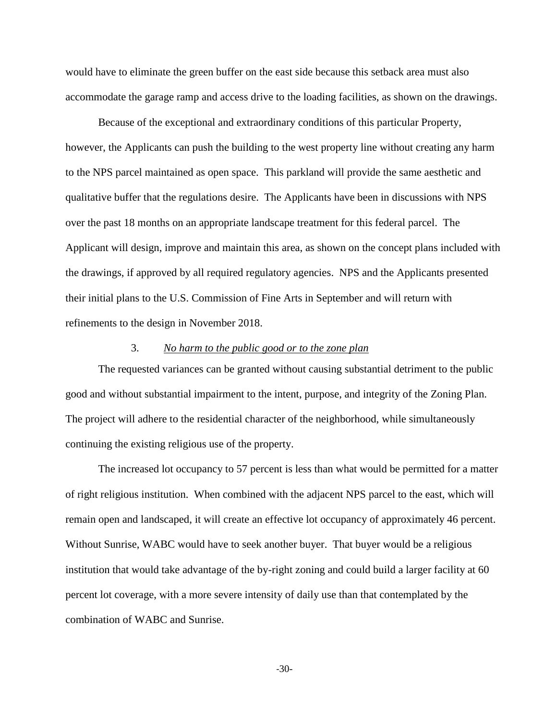would have to eliminate the green buffer on the east side because this setback area must also accommodate the garage ramp and access drive to the loading facilities, as shown on the drawings.

Because of the exceptional and extraordinary conditions of this particular Property, however, the Applicants can push the building to the west property line without creating any harm to the NPS parcel maintained as open space. This parkland will provide the same aesthetic and qualitative buffer that the regulations desire. The Applicants have been in discussions with NPS over the past 18 months on an appropriate landscape treatment for this federal parcel. The Applicant will design, improve and maintain this area, as shown on the concept plans included with the drawings, if approved by all required regulatory agencies. NPS and the Applicants presented their initial plans to the U.S. Commission of Fine Arts in September and will return with refinements to the design in November 2018.

#### 3. *No harm to the public good or to the zone plan*

The requested variances can be granted without causing substantial detriment to the public good and without substantial impairment to the intent, purpose, and integrity of the Zoning Plan. The project will adhere to the residential character of the neighborhood, while simultaneously continuing the existing religious use of the property.

The increased lot occupancy to 57 percent is less than what would be permitted for a matter of right religious institution. When combined with the adjacent NPS parcel to the east, which will remain open and landscaped, it will create an effective lot occupancy of approximately 46 percent. Without Sunrise, WABC would have to seek another buyer. That buyer would be a religious institution that would take advantage of the by-right zoning and could build a larger facility at 60 percent lot coverage, with a more severe intensity of daily use than that contemplated by the combination of WABC and Sunrise.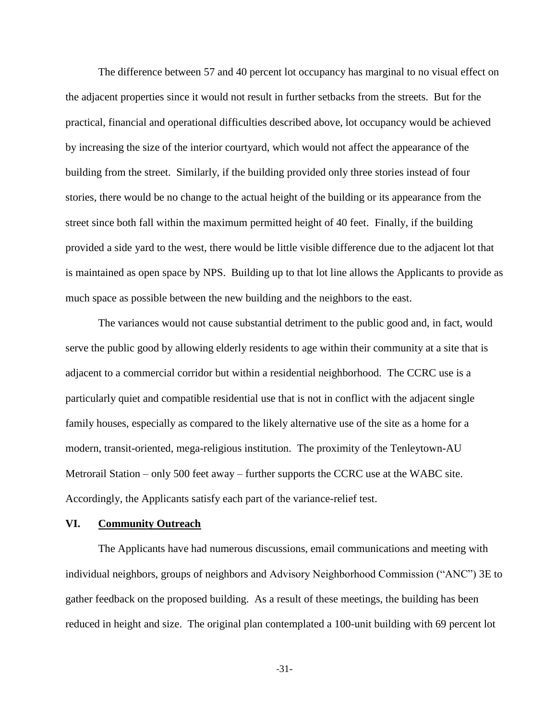The difference between 57 and 40 percent lot occupancy has marginal to no visual effect on the adjacent properties since it would not result in further setbacks from the streets. But for the practical, financial and operational difficulties described above, lot occupancy would be achieved by increasing the size of the interior courtyard, which would not affect the appearance of the building from the street. Similarly, if the building provided only three stories instead of four stories, there would be no change to the actual height of the building or its appearance from the street since both fall within the maximum permitted height of 40 feet. Finally, if the building provided a side yard to the west, there would be little visible difference due to the adjacent lot that is maintained as open space by NPS. Building up to that lot line allows the Applicants to provide as much space as possible between the new building and the neighbors to the east.

The variances would not cause substantial detriment to the public good and, in fact, would serve the public good by allowing elderly residents to age within their community at a site that is adjacent to a commercial corridor but within a residential neighborhood. The CCRC use is a particularly quiet and compatible residential use that is not in conflict with the adjacent single family houses, especially as compared to the likely alternative use of the site as a home for a modern, transit-oriented, mega-religious institution. The proximity of the Tenleytown-AU Metrorail Station – only 500 feet away – further supports the CCRC use at the WABC site. Accordingly, the Applicants satisfy each part of the variance-relief test.

### **VI. Community Outreach**

The Applicants have had numerous discussions, email communications and meeting with individual neighbors, groups of neighbors and Advisory Neighborhood Commission ("ANC") 3E to gather feedback on the proposed building. As a result of these meetings, the building has been reduced in height and size. The original plan contemplated a 100-unit building with 69 percent lot

-31-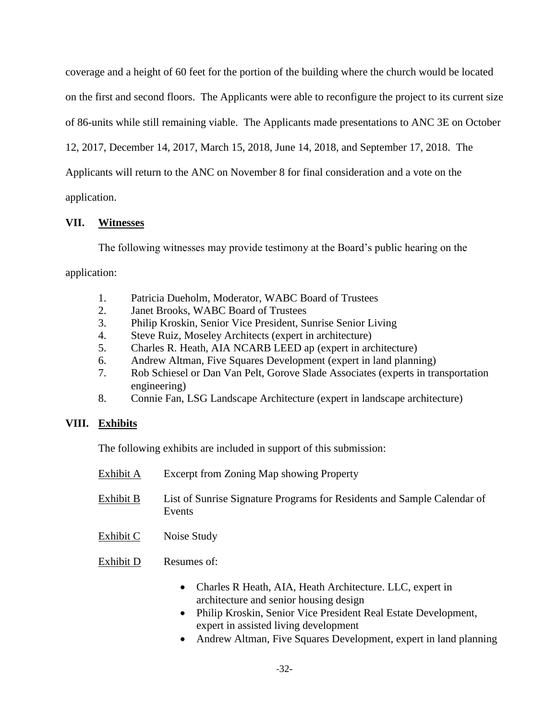coverage and a height of 60 feet for the portion of the building where the church would be located on the first and second floors. The Applicants were able to reconfigure the project to its current size of 86-units while still remaining viable. The Applicants made presentations to ANC 3E on October 12, 2017, December 14, 2017, March 15, 2018, June 14, 2018, and September 17, 2018. The

Applicants will return to the ANC on November 8 for final consideration and a vote on the

application.

# **VII. Witnesses**

The following witnesses may provide testimony at the Board's public hearing on the

application:

- 1. Patricia Dueholm, Moderator, WABC Board of Trustees
- 2. Janet Brooks, WABC Board of Trustees
- 3. Philip Kroskin, Senior Vice President, Sunrise Senior Living
- 4. Steve Ruiz, Moseley Architects (expert in architecture)
- 5. Charles R. Heath, AIA NCARB LEED ap (expert in architecture)
- 6. Andrew Altman, Five Squares Development (expert in land planning)
- 7. Rob Schiesel or Dan Van Pelt, Gorove Slade Associates (experts in transportation engineering)
- 8. Connie Fan, LSG Landscape Architecture (expert in landscape architecture)

# **VIII. Exhibits**

The following exhibits are included in support of this submission:

- Exhibit A Excerpt from Zoning Map showing Property Exhibit B List of Sunrise Signature Programs for Residents and Sample Calendar of Events Exhibit C Noise Study Exhibit D Resumes of: • Charles R Heath, AIA, Heath Architecture. LLC, expert in
	- architecture and senior housing design • Philip Kroskin, Senior Vice President Real Estate Development, expert in assisted living development
	- Andrew Altman, Five Squares Development, expert in land planning